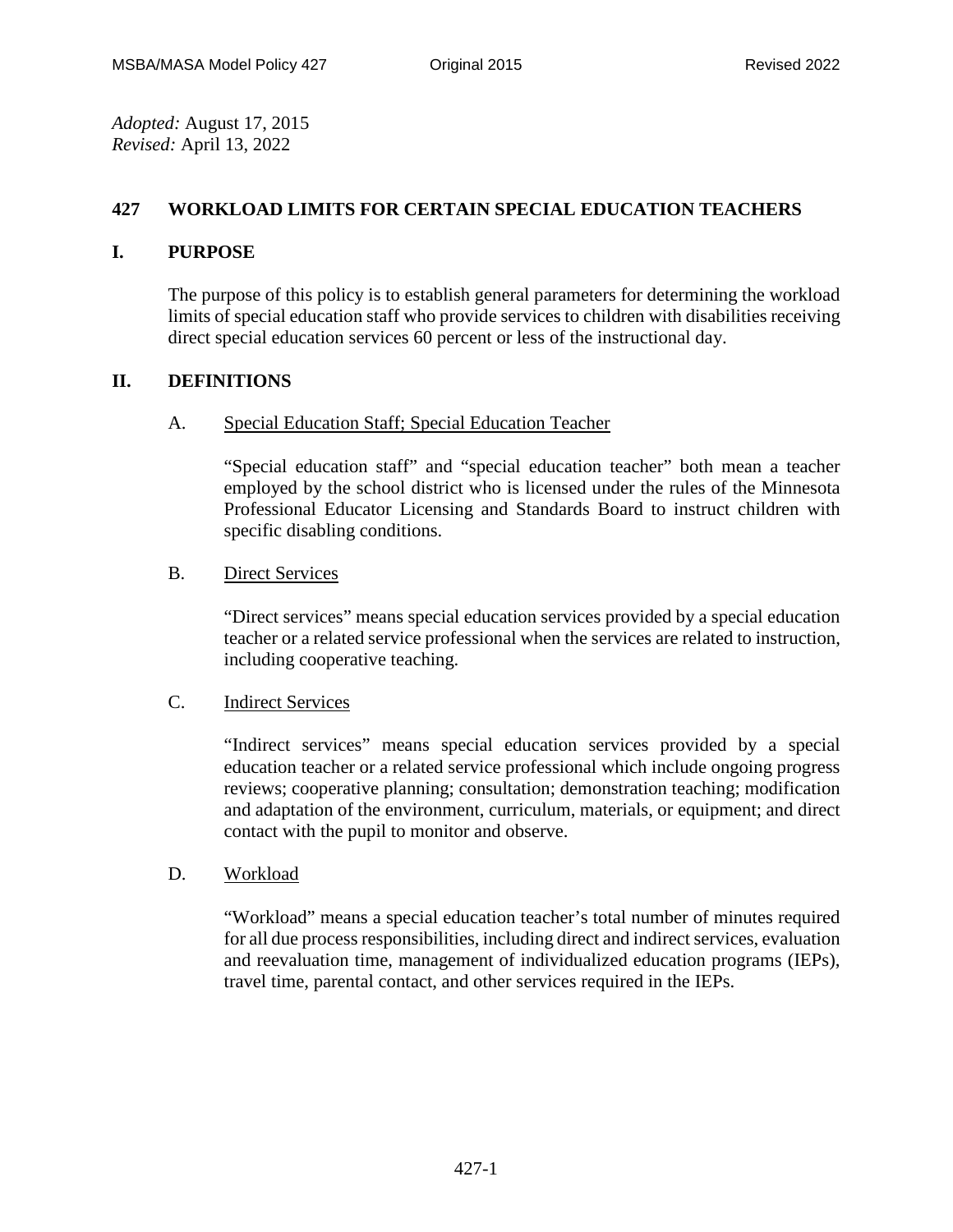*Adopted:* August 17, 2015 *Revised:* April 13, 2022

## **427 WORKLOAD LIMITS FOR CERTAIN SPECIAL EDUCATION TEACHERS**

### **I. PURPOSE**

The purpose of this policy is to establish general parameters for determining the workload limits of special education staff who provide services to children with disabilities receiving direct special education services 60 percent or less of the instructional day.

# **II. DEFINITIONS**

### A. Special Education Staff; Special Education Teacher

"Special education staff" and "special education teacher" both mean a teacher employed by the school district who is licensed under the rules of the Minnesota Professional Educator Licensing and Standards Board to instruct children with specific disabling conditions.

### B. Direct Services

"Direct services" means special education services provided by a special education teacher or a related service professional when the services are related to instruction, including cooperative teaching.

#### C. Indirect Services

"Indirect services" means special education services provided by a special education teacher or a related service professional which include ongoing progress reviews; cooperative planning; consultation; demonstration teaching; modification and adaptation of the environment, curriculum, materials, or equipment; and direct contact with the pupil to monitor and observe.

#### D. Workload

"Workload" means a special education teacher's total number of minutes required for all due process responsibilities, including direct and indirect services, evaluation and reevaluation time, management of individualized education programs (IEPs), travel time, parental contact, and other services required in the IEPs.